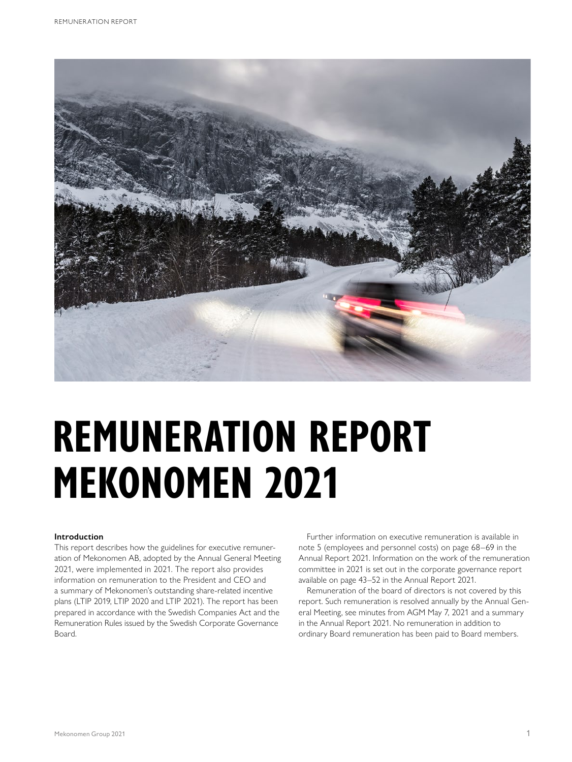

# **REMUNERATION REPORT MEKONOMEN 2021**

## **Introduction**

This report describes how the guidelines for executive remuneration of Mekonomen AB, adopted by the Annual General Meeting 2021, were implemented in 2021. The report also provides information on remuneration to the President and CEO and a summary of Mekonomen's outstanding share-related incentive plans (LTIP 2019, LTIP 2020 and LTIP 2021). The report has been prepared in accordance with the Swedish Companies Act and the Remuneration Rules issued by the Swedish Corporate Governance Board.

Further information on executive remuneration is available in note 5 (employees and personnel costs) on page 68–69 in the Annual Report 2021. Information on the work of the remuneration committee in 2021 is set out in the corporate governance report available on page 43–52 in the Annual Report 2021.

Remuneration of the board of directors is not covered by this report. Such remuneration is resolved annually by the Annual General Meeting, see minutes from AGM May 7, 2021 and a summary in the Annual Report 2021. No remuneration in addition to ordinary Board remuneration has been paid to Board members.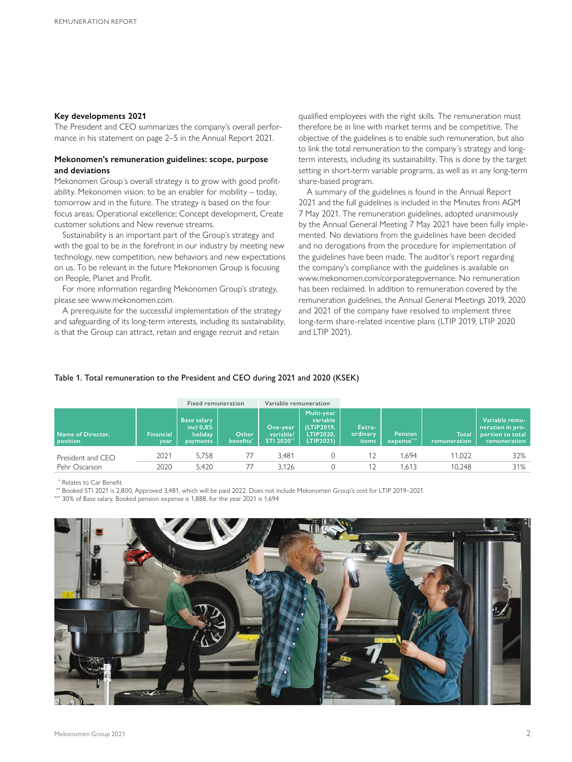#### **Key developments 2021**

The President and CEO summarizes the company's overall performance in his statement on page 2–5 in the Annual Report 2021.

### **Mekonomen's remuneration guidelines: scope, purpose and deviations**

Mekonomen Group´s overall strategy is to grow with good profitability. Mekonomen vision: to be an enabler for mobility – today, tomorrow and in the future. The strategy is based on the four focus areas; Operational excellence; Concept development, Create customer solutions and New revenue streams.

Sustainability is an important part of the Group's strategy and with the goal to be in the forefront in our industry by meeting new technology, new competition, new behaviors and new expectations on us. To be relevant in the future Mekonomen Group is focusing on People, Planet and Profit.

For more information regarding Mekonomen Group's strategy, please see www.mekonomen.com.

A prerequisite for the successful implementation of the strategy and safeguarding of its long-term interests, including its sustainability, is that the Group can attract, retain and engage recruit and retain

qualified employees with the right skills. The remuneration must therefore be in line with market terms and be competitive. The objective of the guidelines is to enable such remuneration, but also to link the total remuneration to the company´s strategy and longterm interests, including its sustainability. This is done by the target setting in short-term variable programs, as well as in any long-term share-based program.

A summary of the guidelines is found in the Annual Report 2021 and the full guidelines is included in the Minutes from AGM 7 May 2021. The remuneration guidelines, adopted unanimously by the Annual General Meeting 7 May 2021 have been fully implemented. No deviations from the guidelines have been decided and no derogations from the procedure for implementation of the guidelines have been made. The auditor's report regarding the company's compliance with the guidelines is available on www.mekonomen.com/corporategovernance. No remuneration has been reclaimed. In addition to remuneration covered by the remuneration guidelines, the Annual General Meetings 2019, 2020 and 2021 of the company have resolved to implement three long-term share-related incentive plans (LTIP 2019, LTIP 2020 and LTIP 2021).

## Table 1. Total remuneration to the President and CEO during 2021 and 2020 (KSEK)

|                                    |                          | <b>Fixed remuneration</b>                                 |                                | Variable remuneration               |                                                                |                             |                              |                              |                                                                        |
|------------------------------------|--------------------------|-----------------------------------------------------------|--------------------------------|-------------------------------------|----------------------------------------------------------------|-----------------------------|------------------------------|------------------------------|------------------------------------------------------------------------|
| Name of Director,<br>position      | <b>Financial</b><br>year | <b>Base salary</b><br>incl $0.8\%$<br>holiday<br>payments | Other<br>benefits <sup>*</sup> | One-year<br>variable/<br>STI 2020** | Multi-year<br>variable<br>(LTIP2019,<br>LTIP2020.<br>LTIP2021) | Extra-<br>ordinary<br>items | <b>Pension</b><br>expense*** | <b>Total</b><br>remuneration | Variable remu-<br>neration in pro-<br>portion to total<br>remuneration |
| President and CEO<br>Pehr Oscarson | 2021                     | 5.758                                                     | 77                             | 3.481                               |                                                                | 12                          | .694                         | 11,022                       | 32%                                                                    |
|                                    | 2020                     | 5.420                                                     | 77                             | 3.126                               |                                                                |                             | .613                         | 10.248                       | 31%                                                                    |

\* Relates to Car Benefit

\*\* Booked STI 2021 is 2,800, Approved 3,481, which will be paid 2022. Does not include Mekonomen Group's cost for LTIP 2019–2021

\*\*\* 30% of Base salary. Booked pension expense is 1,888, for the year 2021 is 1,694

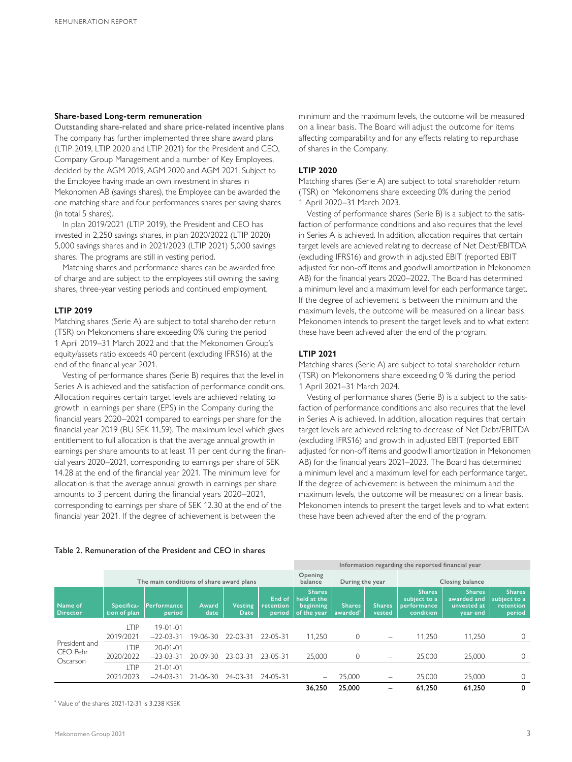#### **Share-based Long-term remuneration**

Outstanding share-related and share price-related incentive plans The company has further implemented three share award plans (LTIP 2019, LTIP 2020 and LTIP 2021) for the President and CEO, Company Group Management and a number of Key Employees, decided by the AGM 2019, AGM 2020 and AGM 2021. Subject to the Employee having made an own investment in shares in Mekonomen AB (savings shares), the Employee can be awarded the one matching share and four performances shares per saving shares (in total 5 shares).

In plan 2019/2021 (LTIP 2019), the President and CEO has invested in 2,250 savings shares, in plan 2020/2022 (LTIP 2020) 5,000 savings shares and in 2021/2023 (LTIP 2021) 5,000 savings shares. The programs are still in vesting period.

Matching shares and performance shares can be awarded free of charge and are subject to the employees still owning the saving shares, three-year vesting periods and continued employment.

#### **LTIP 2019**

Matching shares (Serie A) are subject to total shareholder return (TSR) on Mekonomens share exceeding 0% during the period 1 April 2019–31 March 2022 and that the Mekonomen Group's equity/assets ratio exceeds 40 percent (excluding IFRS16) at the end of the financial year 2021.

Vesting of performance shares (Serie B) requires that the level in Series A is achieved and the satisfaction of performance conditions. Allocation requires certain target levels are achieved relating to growth in earnings per share (EPS) in the Company during the financial years 2020–2021 compared to earnings per share for the financial year 2019 (BU SEK 11,59). The maximum level which gives entitlement to full allocation is that the average annual growth in earnings per share amounts to at least 11 per cent during the financial years 2020–2021, corresponding to earnings per share of SEK 14.28 at the end of the financial year 2021. The minimum level for allocation is that the average annual growth in earnings per share amounts to 3 percent during the financial years 2020–2021, corresponding to earnings per share of SEK 12.30 at the end of the financial year 2021. If the degree of achievement is between the

minimum and the maximum levels, the outcome will be measured on a linear basis. The Board will adjust the outcome for items affecting comparability and for any effects relating to repurchase of shares in the Company.

## **LTIP 2020**

Matching shares (Serie A) are subject to total shareholder return (TSR) on Mekonomens share exceeding 0% during the period 1 April 2020–31 March 2023.

Vesting of performance shares (Serie B) is a subject to the satisfaction of performance conditions and also requires that the level in Series A is achieved. In addition, allocation requires that certain target levels are achieved relating to decrease of Net Debt/EBITDA (excluding IFRS16) and growth in adjusted EBIT (reported EBIT adjusted for non-off items and goodwill amortization in Mekonomen AB) for the financial years 2020–2022. The Board has determined a minimum level and a maximum level for each performance target. If the degree of achievement is between the minimum and the maximum levels, the outcome will be measured on a linear basis. Mekonomen intends to present the target levels and to what extent these have been achieved after the end of the program.

### **LTIP 2021**

Matching shares (Serie A) are subject to total shareholder return (TSR) on Mekonomens share exceeding 0 % during the period 1 April 2021–31 March 2024.

Vesting of performance shares (Serie B) is a subject to the satisfaction of performance conditions and also requires that the level in Series A is achieved. In addition, allocation requires that certain target levels are achieved relating to decrease of Net Debt/EBITDA (excluding IFRS16) and growth in adjusted EBIT (reported EBIT adjusted for non-off items and goodwill amortization in Mekonomen AB) for the financial years 2021–2023. The Board has determined a minimum level and a maximum level for each performance target. If the degree of achievement is between the minimum and the maximum levels, the outcome will be measured on a linear basis. Mekonomen intends to present the target levels and to what extent these have been achieved after the end of the program.

**Information regarding the reported financial year**

|                                       | The main conditions of share award plans |                               |                |                 |                               | Opening<br>balance                                       | During the year          |                          | Closing balance                                                  |                                                         |                                                      |  |
|---------------------------------------|------------------------------------------|-------------------------------|----------------|-----------------|-------------------------------|----------------------------------------------------------|--------------------------|--------------------------|------------------------------------------------------------------|---------------------------------------------------------|------------------------------------------------------|--|
| Name of<br><b>Director</b>            | Specifica-<br>tion of plan               | Performance<br>period         | Award<br>date  | Vesting<br>Date | End of<br>retention<br>period | <b>Shares</b><br>held at the<br>beginning<br>of the year | <b>Shares</b><br>awarded | <b>Shares</b><br>vested  | <b>Shares</b><br>subject to a<br><b>performance</b><br>condition | <b>Shares</b><br>awarded and<br>unvested at<br>year end | <b>Shares</b><br>subject to a<br>retention<br>period |  |
| President and<br>CEO Pehr<br>Oscarson | TIP<br>2019/2021                         | $19 - 01 - 01$<br>$-22-03-31$ | 19-06-30       | 22-03-31        | $22 - 05 - 31$                | 11,250                                                   | $\circ$                  | $\overline{\phantom{a}}$ | 11,250                                                           | 11,250                                                  |                                                      |  |
|                                       | LTIP.<br>2020/2022                       | $20 - 01 - 01$<br>$-23-03-31$ | 20-09-30       | $23-03-31$      | 23-05-31                      | 25,000                                                   | $\mathbf{0}$             | $\overline{\phantom{a}}$ | 25,000                                                           | 25,000                                                  |                                                      |  |
|                                       | _TIP<br>2021/2023                        | $21 - 01 - 01$<br>$-24-03-31$ | $21 - 06 - 30$ | 24-03-31        | 24-05-31                      | $\overline{\phantom{m}}$                                 | 25,000                   | $\overline{\phantom{a}}$ | 25,000                                                           | 25.000                                                  |                                                      |  |
|                                       |                                          |                               |                |                 |                               | 36,250                                                   | 25,000                   |                          | 61,250                                                           | 61,250                                                  | $\mathbf{0}$                                         |  |

# Table 2. Remuneration of the President and CEO in shares

\* Value of the shares 2021-12-31 is 3,238 KSEK